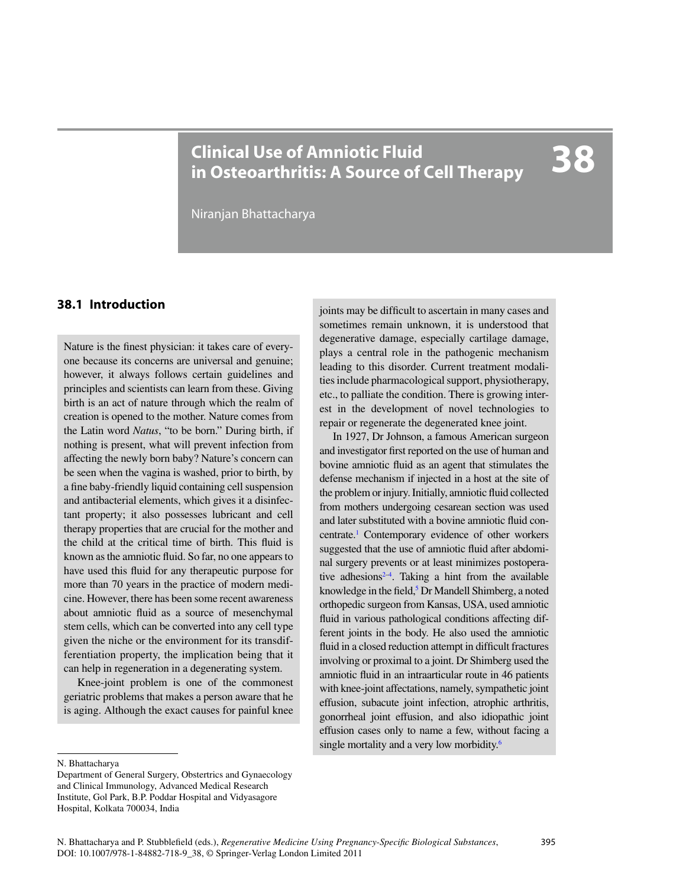# **Clinical Use of Amniotic Fluid in Osteoarthritis: A Source of Cell Therapy**

# **38**

Niranjan Bhattacharya

### **38.1 Introduction**

Nature is the finest physician: it takes care of everyone because its concerns are universal and genuine; however, it always follows certain guidelines and principles and scientists can learn from these. Giving birth is an act of nature through which the realm of creation is opened to the mother. Nature comes from the Latin word *Natus*, "to be born." During birth, if nothing is present, what will prevent infection from affecting the newly born baby? Nature's concern can be seen when the vagina is washed, prior to birth, by a fine baby-friendly liquid containing cell suspension and antibacterial elements, which gives it a disinfectant property; it also possesses lubricant and cell therapy properties that are crucial for the mother and the child at the critical time of birth. This fluid is known as the amniotic fluid. So far, no one appears to have used this fluid for any therapeutic purpose for more than 70 years in the practice of modern medicine. However, there has been some recent awareness about amniotic fluid as a source of mesenchymal stem cells, which can be converted into any cell type given the niche or the environment for its transdifferentiation property, the implication being that it can help in regeneration in a degenerating system.

Knee-joint problem is one of the commonest geriatric problems that makes a person aware that he is aging. Although the exact causes for painful knee

joints may be difficult to ascertain in many cases and sometimes remain unknown, it is understood that degenerative damage, especially cartilage damage, plays a central role in the pathogenic mechanism leading to this disorder. Current treatment modalities include pharmacological support, physiotherapy, etc., to palliate the condition. There is growing interest in the development of novel technologies to repair or regenerate the degenerated knee joint.

In 1927, Dr Johnson, a famous American surgeon and investigator first reported on the use of human and bovine amniotic fluid as an agent that stimulates the defense mechanism if injected in a host at the site of the problem or injury. Initially, amniotic fluid collected from mothers undergoing cesarean section was used and later substituted with a bovine amniotic fluid concentrate.1 Contemporary evidence of other workers suggested that the use of amniotic fluid after abdominal surgery prevents or at least minimizes postoperative adhesions<sup> $2-4$ </sup>. Taking a hint from the available knowledge in the field,<sup>5</sup> Dr Mandell Shimberg, a noted orthopedic surgeon from Kansas, USA, used amniotic fluid in various pathological conditions affecting different joints in the body. He also used the amniotic fluid in a closed reduction attempt in difficult fractures involving or proximal to a joint. Dr Shimberg used the amniotic fluid in an intraarticular route in 46 patients with knee-joint affectations, namely, sympathetic joint effusion, subacute joint infection, atrophic arthritis, gonorrheal joint effusion, and also idiopathic joint effusion cases only to name a few, without facing a single mortality and a very low morbidity.<sup>6</sup>

N. Bhattacharya

Department of General Surgery, Obstertrics and Gynaecology and Clinical Immunology, Advanced Medical Research Institute, Gol Park, B.P. Poddar Hospital and Vidyasagore Hospital, Kolkata 700034, India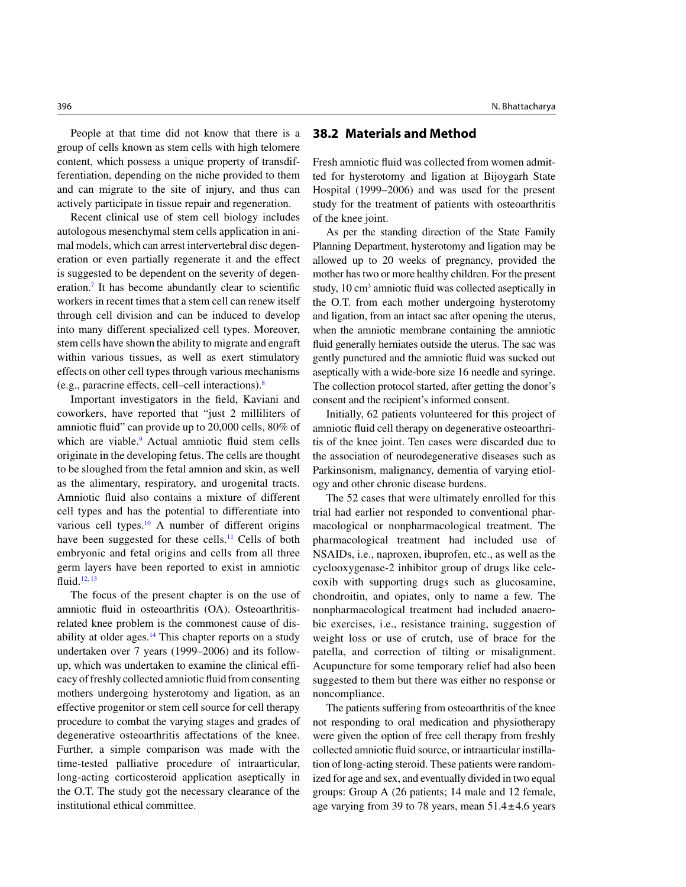People at that time did not know that there is a group of cells known as stem cells with high telomere content, which possess a unique property of transdifferentiation, depending on the niche provided to them and can migrate to the site of injury, and thus can actively participate in tissue repair and regeneration.

Recent clinical use of stem cell biology includes autologous mesenchymal stem cells application in animal models, which can arrest intervertebral disc degeneration or even partially regenerate it and the effect is suggested to be dependent on the severity of degeneration.<sup>7</sup> It has become abundantly clear to scientific workers in recent times that a stem cell can renew itself through cell division and can be induced to develop into many different specialized cell types. Moreover, stem cells have shown the ability to migrate and engraft within various tissues, as well as exert stimulatory effects on other cell types through various mechanisms (e.g., paracrine effects, cell–cell interactions).8

Important investigators in the field, Kaviani and coworkers, have reported that "just 2 milliliters of amniotic fluid" can provide up to 20,000 cells, 80% of which are viable.<sup>9</sup> Actual amniotic fluid stem cells originate in the developing fetus. The cells are thought to be sloughed from the fetal amnion and skin, as well as the alimentary, respiratory, and urogenital tracts. Amniotic fluid also contains a mixture of different cell types and has the potential to differentiate into various cell types.<sup>10</sup> A number of different origins have been suggested for these cells.<sup>11</sup> Cells of both embryonic and fetal origins and cells from all three germ layers have been reported to exist in amniotic fluid.<sup>12, 13</sup>

The focus of the present chapter is on the use of amniotic fluid in osteoarthritis (OA). Osteoarthritisrelated knee problem is the commonest cause of disability at older ages.<sup>14</sup> This chapter reports on a study undertaken over 7 years (1999–2006) and its followup, which was undertaken to examine the clinical efficacy of freshly collected amniotic fluid from consenting mothers undergoing hysterotomy and ligation, as an effective progenitor or stem cell source for cell therapy procedure to combat the varying stages and grades of degenerative osteoarthritis affectations of the knee. Further, a simple comparison was made with the time-tested palliative procedure of intraarticular, long-acting corticosteroid application aseptically in the O.T. The study got the necessary clearance of the institutional ethical committee.

#### **38.2 Materials and Method**

Fresh amniotic fluid was collected from women admitted for hysterotomy and ligation at Bijoygarh State Hospital (1999–2006) and was used for the present study for the treatment of patients with osteoarthritis of the knee joint.

As per the standing direction of the State Family Planning Department, hysterotomy and ligation may be allowed up to 20 weeks of pregnancy, provided the mother has two or more healthy children. For the present study, 10 cm<sup>3</sup> amniotic fluid was collected aseptically in the O.T. from each mother undergoing hysterotomy and ligation, from an intact sac after opening the uterus, when the amniotic membrane containing the amniotic fluid generally herniates outside the uterus. The sac was gently punctured and the amniotic fluid was sucked out aseptically with a wide-bore size 16 needle and syringe. The collection protocol started, after getting the donor's consent and the recipient's informed consent.

Initially, 62 patients volunteered for this project of amniotic fluid cell therapy on degenerative osteoarthritis of the knee joint. Ten cases were discarded due to the association of neurodegenerative diseases such as Parkinsonism, malignancy, dementia of varying etiology and other chronic disease burdens.

The 52 cases that were ultimately enrolled for this trial had earlier not responded to conventional pharmacological or nonpharmacological treatment. The pharmacological treatment had included use of NSAIDs, i.e., naproxen, ibuprofen, etc., as well as the cyclooxygenase-2 inhibitor group of drugs like celecoxib with supporting drugs such as glucosamine, chondroitin, and opiates, only to name a few. The nonpharmacological treatment had included anaerobic exercises, i.e., resistance training, suggestion of weight loss or use of crutch, use of brace for the patella, and correction of tilting or misalignment. Acupuncture for some temporary relief had also been suggested to them but there was either no response or noncompliance.

The patients suffering from osteoarthritis of the knee not responding to oral medication and physiotherapy were given the option of free cell therapy from freshly collected amniotic fluid source, or intraarticular instillation of long-acting steroid. These patients were randomized for age and sex, and eventually divided in two equal groups: Group A (26 patients; 14 male and 12 female, age varying from 39 to 78 years, mean  $51.4 \pm 4.6$  years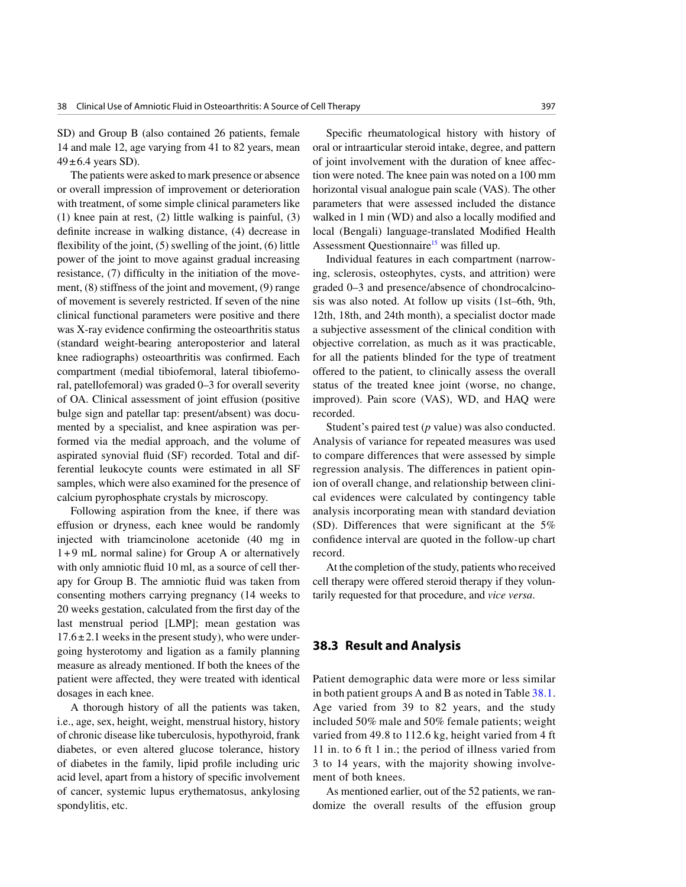SD) and Group B (also contained 26 patients, female 14 and male 12, age varying from 41 to 82 years, mean  $49 \pm 6.4$  years SD).

The patients were asked to mark presence or absence or overall impression of improvement or deterioration with treatment, of some simple clinical parameters like (1) knee pain at rest, (2) little walking is painful, (3) definite increase in walking distance, (4) decrease in flexibility of the joint, (5) swelling of the joint, (6) little power of the joint to move against gradual increasing resistance, (7) difficulty in the initiation of the movement, (8) stiffness of the joint and movement, (9) range of movement is severely restricted. If seven of the nine clinical functional parameters were positive and there was X-ray evidence confirming the osteoarthritis status (standard weight-bearing anteroposterior and lateral knee radiographs) osteoarthritis was confirmed. Each compartment (medial tibiofemoral, lateral tibiofemoral, patellofemoral) was graded 0–3 for overall severity of OA. Clinical assessment of joint effusion (positive bulge sign and patellar tap: present/absent) was documented by a specialist, and knee aspiration was performed via the medial approach, and the volume of aspirated synovial fluid (SF) recorded. Total and differential leukocyte counts were estimated in all SF samples, which were also examined for the presence of calcium pyrophosphate crystals by microscopy.

Following aspiration from the knee, if there was effusion or dryness, each knee would be randomly injected with triamcinolone acetonide (40 mg in 1+9 mL normal saline) for Group A or alternatively with only amniotic fluid 10 ml, as a source of cell therapy for Group B. The amniotic fluid was taken from consenting mothers carrying pregnancy (14 weeks to 20 weeks gestation, calculated from the first day of the last menstrual period [LMP]; mean gestation was  $17.6 \pm 2.1$  weeks in the present study), who were undergoing hysterotomy and ligation as a family planning measure as already mentioned. If both the knees of the patient were affected, they were treated with identical dosages in each knee.

A thorough history of all the patients was taken, i.e., age, sex, height, weight, menstrual history, history of chronic disease like tuberculosis, hypothyroid, frank diabetes, or even altered glucose tolerance, history of diabetes in the family, lipid profile including uric acid level, apart from a history of specific involvement of cancer, systemic lupus erythematosus, ankylosing spondylitis, etc.

Specific rheumatological history with history of oral or intraarticular steroid intake, degree, and pattern of joint involvement with the duration of knee affection were noted. The knee pain was noted on a 100 mm horizontal visual analogue pain scale (VAS). The other parameters that were assessed included the distance walked in 1 min (WD) and also a locally modified and local (Bengali) language-translated Modified Health Assessment Questionnaire<sup>15</sup> was filled up.

Individual features in each compartment (narrowing, sclerosis, osteophytes, cysts, and attrition) were graded 0–3 and presence/absence of chondrocalcinosis was also noted. At follow up visits (1st–6th, 9th, 12th, 18th, and 24th month), a specialist doctor made a subjective assessment of the clinical condition with objective correlation, as much as it was practicable, for all the patients blinded for the type of treatment offered to the patient, to clinically assess the overall status of the treated knee joint (worse, no change, improved). Pain score (VAS), WD, and HAQ were recorded.

Student's paired test (*p* value) was also conducted. Analysis of variance for repeated measures was used to compare differences that were assessed by simple regression analysis. The differences in patient opinion of overall change, and relationship between clinical evidences were calculated by contingency table analysis incorporating mean with standard deviation (SD). Differences that were significant at the 5% confidence interval are quoted in the follow-up chart record.

At the completion of the study, patients who received cell therapy were offered steroid therapy if they voluntarily requested for that procedure, and *vice versa*.

#### **38.3 Result and Analysis**

Patient demographic data were more or less similar in both patient groups A and B as noted in Table 38.1. Age varied from 39 to 82 years, and the study included 50% male and 50% female patients; weight varied from 49.8 to 112.6 kg, height varied from 4 ft 11 in. to 6 ft 1 in.; the period of illness varied from 3 to 14 years, with the majority showing involvement of both knees.

As mentioned earlier, out of the 52 patients, we randomize the overall results of the effusion group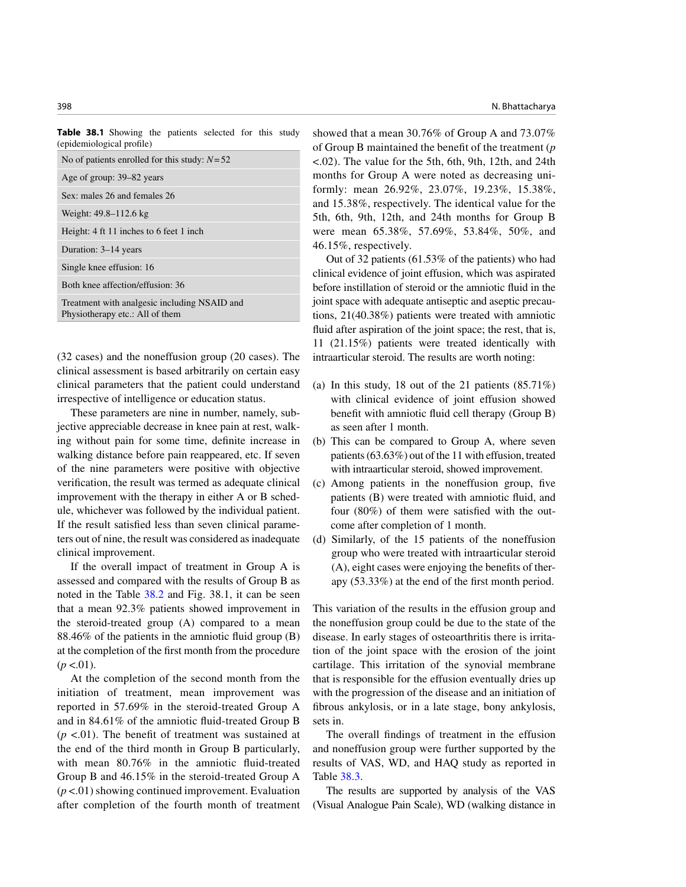|  | <b>Table 38.1</b> Showing the patients selected for this study |  |  |  |
|--|----------------------------------------------------------------|--|--|--|
|  | (epidemiological profile)                                      |  |  |  |

Treatment with analgesic including NSAID and Physiotherapy etc.: All of them

(32 cases) and the noneffusion group (20 cases). The clinical assessment is based arbitrarily on certain easy clinical parameters that the patient could understand irrespective of intelligence or education status.

These parameters are nine in number, namely, subjective appreciable decrease in knee pain at rest, walking without pain for some time, definite increase in walking distance before pain reappeared, etc. If seven of the nine parameters were positive with objective verification, the result was termed as adequate clinical improvement with the therapy in either A or B schedule, whichever was followed by the individual patient. If the result satisfied less than seven clinical parameters out of nine, the result was considered as inadequate clinical improvement.

If the overall impact of treatment in Group A is assessed and compared with the results of Group B as noted in the Table 38.2 and Fig. 38.1, it can be seen that a mean 92.3% patients showed improvement in the steroid-treated group (A) compared to a mean 88.46% of the patients in the amniotic fluid group (B) at the completion of the first month from the procedure  $(p < .01)$ .

At the completion of the second month from the initiation of treatment, mean improvement was reported in 57.69% in the steroid-treated Group A and in 84.61% of the amniotic fluid-treated Group B  $(p \lt 0.01)$ . The benefit of treatment was sustained at the end of the third month in Group B particularly, with mean 80.76% in the amniotic fluid-treated Group B and 46.15% in the steroid-treated Group A  $(p<.01)$  showing continued improvement. Evaluation after completion of the fourth month of treatment showed that a mean 30.76% of Group A and 73.07% of Group B maintained the benefit of the treatment (*p* <.02). The value for the 5th, 6th, 9th, 12th, and 24th months for Group A were noted as decreasing uniformly: mean 26.92%, 23.07%, 19.23%, 15.38%, and 15.38%, respectively. The identical value for the 5th, 6th, 9th, 12th, and 24th months for Group B were mean 65.38%, 57.69%, 53.84%, 50%, and 46.15%, respectively.

Out of 32 patients (61.53% of the patients) who had clinical evidence of joint effusion, which was aspirated before instillation of steroid or the amniotic fluid in the joint space with adequate antiseptic and aseptic precautions, 21(40.38%) patients were treated with amniotic fluid after aspiration of the joint space; the rest, that is, 11 (21.15%) patients were treated identically with intraarticular steroid. The results are worth noting:

- (a) In this study, 18 out of the 21 patients  $(85.71\%)$ with clinical evidence of joint effusion showed benefit with amniotic fluid cell therapy (Group B) as seen after 1 month.
- (b) This can be compared to Group A, where seven patients (63.63%) out of the 11 with effusion, treated with intraarticular steroid, showed improvement.
- (c) Among patients in the noneffusion group, five patients (B) were treated with amniotic fluid, and four (80%) of them were satisfied with the outcome after completion of 1 month.
- (d) Similarly, of the 15 patients of the noneffusion group who were treated with intraarticular steroid (A), eight cases were enjoying the benefits of therapy (53.33%) at the end of the first month period.

This variation of the results in the effusion group and the noneffusion group could be due to the state of the disease. In early stages of osteoarthritis there is irritation of the joint space with the erosion of the joint cartilage. This irritation of the synovial membrane that is responsible for the effusion eventually dries up with the progression of the disease and an initiation of fibrous ankylosis, or in a late stage, bony ankylosis, sets in.

The overall findings of treatment in the effusion and noneffusion group were further supported by the results of VAS, WD, and HAQ study as reported in Table 38.3.

The results are supported by analysis of the VAS (Visual Analogue Pain Scale), WD (walking distance in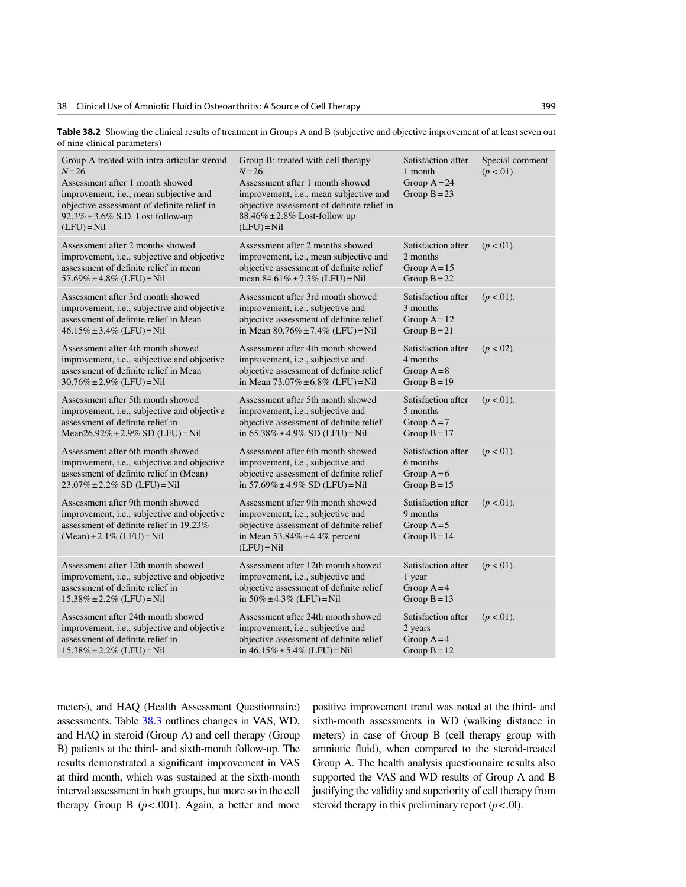**Table 38.2** Showing the clinical results of treatment in Groups A and B (subjective and objective improvement of at least seven out of nine clinical parameters)

| Group A treated with intra-articular steroid<br>$N = 26$<br>Assessment after 1 month showed<br>improvement, i.e., mean subjective and<br>objective assessment of definite relief in<br>$92.3\% \pm 3.6\%$ S.D. Lost follow-up<br>$(LFU) = Nil$ | Group B: treated with cell therapy<br>$N = 26$<br>Assessment after 1 month showed<br>improvement, i.e., mean subjective and<br>objective assessment of definite relief in<br>$88.46\% \pm 2.8\%$ Lost-follow up<br>$(LFU) = Nil$ | Satisfaction after<br>1 month<br>Group $A = 24$<br>Group $B = 23$ | Special comment<br>$(p < 01)$ . |
|------------------------------------------------------------------------------------------------------------------------------------------------------------------------------------------------------------------------------------------------|----------------------------------------------------------------------------------------------------------------------------------------------------------------------------------------------------------------------------------|-------------------------------------------------------------------|---------------------------------|
| Assessment after 2 months showed                                                                                                                                                                                                               | Assessment after 2 months showed                                                                                                                                                                                                 | Satisfaction after                                                | $(p < 0.01)$ .                  |
| improvement, i.e., subjective and objective                                                                                                                                                                                                    | improvement, i.e., mean subjective and                                                                                                                                                                                           | 2 months                                                          |                                 |
| assessment of definite relief in mean                                                                                                                                                                                                          | objective assessment of definite relief                                                                                                                                                                                          | Group $A = 15$                                                    |                                 |
| $57.69\% \pm 4.8\%$ (LFU) = Nil                                                                                                                                                                                                                | mean $84.61\% \pm 7.3\%$ (LFU) = Nil                                                                                                                                                                                             | Group $B = 22$                                                    |                                 |
| Assessment after 3rd month showed                                                                                                                                                                                                              | Assessment after 3rd month showed                                                                                                                                                                                                | Satisfaction after                                                | $(p < 0.01)$ .                  |
| improvement, <i>i.e.</i> , subjective and objective                                                                                                                                                                                            | improvement, i.e., subjective and                                                                                                                                                                                                | 3 months                                                          |                                 |
| assessment of definite relief in Mean                                                                                                                                                                                                          | objective assessment of definite relief                                                                                                                                                                                          | Group $A = 12$                                                    |                                 |
| $46.15\% \pm 3.4\%$ (LFU) = Nil                                                                                                                                                                                                                | in Mean $80.76\% \pm 7.4\%$ (LFU)=Nil                                                                                                                                                                                            | Group $B = 21$                                                    |                                 |
| Assessment after 4th month showed                                                                                                                                                                                                              | Assessment after 4th month showed                                                                                                                                                                                                | Satisfaction after                                                | $(p < .02)$ .                   |
| improvement, i.e., subjective and objective                                                                                                                                                                                                    | improvement, i.e., subjective and                                                                                                                                                                                                | 4 months                                                          |                                 |
| assessment of definite relief in Mean                                                                                                                                                                                                          | objective assessment of definite relief                                                                                                                                                                                          | Group $A = 8$                                                     |                                 |
| $30.76\% \pm 2.9\%$ (LFU) = Nil                                                                                                                                                                                                                | in Mean $73.07\% \pm 6.8\%$ (LFU)=Nil                                                                                                                                                                                            | Group $B = 19$                                                    |                                 |
| Assessment after 5th month showed                                                                                                                                                                                                              | Assessment after 5th month showed                                                                                                                                                                                                | Satisfaction after                                                | $(p < 01)$ .                    |
| improvement, i.e., subjective and objective                                                                                                                                                                                                    | improvement, i.e., subjective and                                                                                                                                                                                                | 5 months                                                          |                                 |
| assessment of definite relief in                                                                                                                                                                                                               | objective assessment of definite relief                                                                                                                                                                                          | Group $A = 7$                                                     |                                 |
| Mean26.92% ± 2.9% SD (LFU) = Nil                                                                                                                                                                                                               | in $65.38\% \pm 4.9\%$ SD (LFU) = Nil                                                                                                                                                                                            | Group $B = 17$                                                    |                                 |
| Assessment after 6th month showed                                                                                                                                                                                                              | Assessment after 6th month showed                                                                                                                                                                                                | Satisfaction after                                                | $(p < 0.01)$ .                  |
| improvement, <i>i.e.</i> , subjective and objective                                                                                                                                                                                            | improvement, i.e., subjective and                                                                                                                                                                                                | 6 months                                                          |                                 |
| assessment of definite relief in (Mean)                                                                                                                                                                                                        | objective assessment of definite relief                                                                                                                                                                                          | Group $A = 6$                                                     |                                 |
| 23.07% ± 2.2% SD (LFU) = Nil                                                                                                                                                                                                                   | in $57.69\% \pm 4.9\%$ SD (LFU)=Nil                                                                                                                                                                                              | Group $B = 15$                                                    |                                 |
| Assessment after 9th month showed<br>improvement, i.e., subjective and objective<br>assessment of definite relief in 19.23%<br>$(Mean) \pm 2.1\%$ (LFU) = Nil                                                                                  | Assessment after 9th month showed<br>improvement, i.e., subjective and<br>objective assessment of definite relief<br>in Mean $53.84\% \pm 4.4\%$ percent<br>$(LFU) = Nil$                                                        | Satisfaction after<br>9 months<br>Group $A = 5$<br>Group $B = 14$ | $(p < 0.01)$ .                  |
| Assessment after 12th month showed                                                                                                                                                                                                             | Assessment after 12th month showed                                                                                                                                                                                               | Satisfaction after                                                | $(p < 01)$ .                    |
| improvement, i.e., subjective and objective                                                                                                                                                                                                    | improvement, i.e., subjective and                                                                                                                                                                                                | 1 year                                                            |                                 |
| assessment of definite relief in                                                                                                                                                                                                               | objective assessment of definite relief                                                                                                                                                                                          | Group $A = 4$                                                     |                                 |
| $15.38\% \pm 2.2\%$ (LFU) = Nil                                                                                                                                                                                                                | in $50\% \pm 4.3\%$ (LFU) = Nil                                                                                                                                                                                                  | Group $B = 13$                                                    |                                 |
| Assessment after 24th month showed                                                                                                                                                                                                             | Assessment after 24th month showed                                                                                                                                                                                               | Satisfaction after                                                | $(p < 01)$ .                    |
| improvement, i.e., subjective and objective                                                                                                                                                                                                    | improvement, i.e., subjective and                                                                                                                                                                                                | 2 years                                                           |                                 |
| assessment of definite relief in                                                                                                                                                                                                               | objective assessment of definite relief                                                                                                                                                                                          | Group $A = 4$                                                     |                                 |
| $15.38\% \pm 2.2\%$ (LFU) = Nil                                                                                                                                                                                                                | in $46.15\% \pm 5.4\%$ (LFU) = Nil                                                                                                                                                                                               | Group $B = 12$                                                    |                                 |

meters), and HAQ (Health Assessment Questionnaire) assessments. Table 38.3 outlines changes in VAS, WD, and HAQ in steroid (Group A) and cell therapy (Group B) patients at the third- and sixth-month follow-up. The results demonstrated a significant improvement in VAS at third month, which was sustained at the sixth-month interval assessment in both groups, but more so in the cell therapy Group B  $(p<.001)$ . Again, a better and more

positive improvement trend was noted at the third- and sixth-month assessments in WD (walking distance in meters) in case of Group B (cell therapy group with amniotic fluid), when compared to the steroid-treated Group A. The health analysis questionnaire results also supported the VAS and WD results of Group A and B justifying the validity and superiority of cell therapy from steroid therapy in this preliminary report  $(p < .0)$ .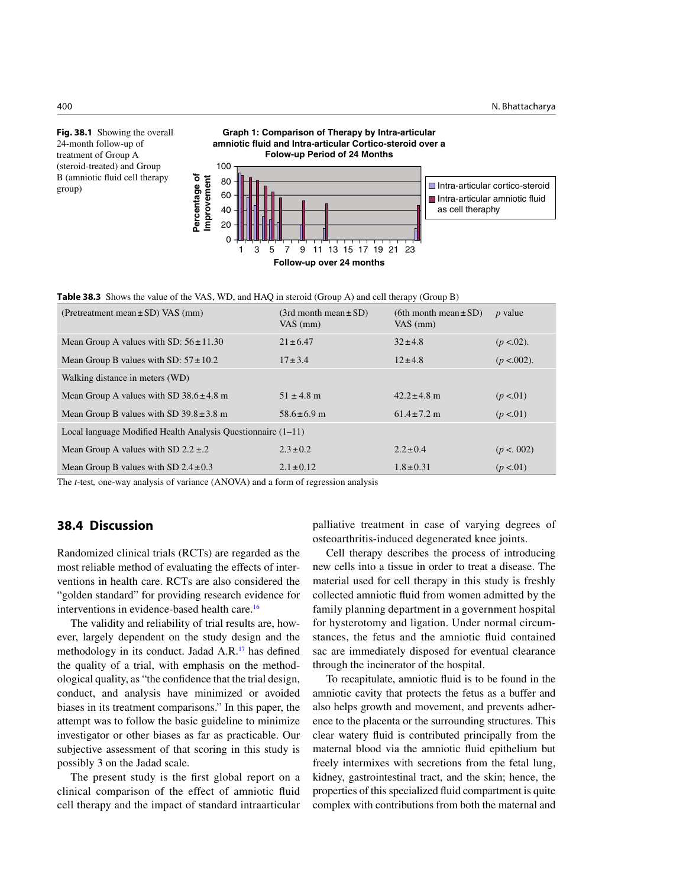**Fig. 38.1** Showing the overall 24-month follow-up of treatment of Group A (steroid-treated) and Group B (amniotic fluid cell therapy group)



| <b>Table 38.3</b> Shows the value of the VAS, WD, and HAQ in steroid (Group A) and cell therapy (Group B) |                                           |                                           |                 |  |  |  |
|-----------------------------------------------------------------------------------------------------------|-------------------------------------------|-------------------------------------------|-----------------|--|--|--|
| (Pretreatment mean $\pm$ SD) VAS (mm)                                                                     | $(3rd$ month mean $\pm$ SD)<br>$VAS$ (mm) | $(6th$ month mean $\pm$ SD)<br>VAS $(mm)$ | <i>p</i> value  |  |  |  |
| Mean Group A values with SD: $56 \pm 11.30$                                                               | $21 \pm 6.47$                             | $32 \pm 4.8$                              | $(p < 02)$ .    |  |  |  |
| Mean Group B values with SD: $57 \pm 10.2$                                                                | $17 + 3.4$                                | $12 \pm 4.8$                              | $(p < 0.002)$ . |  |  |  |
| Walking distance in meters (WD)                                                                           |                                           |                                           |                 |  |  |  |
| Mean Group A values with SD $38.6 \pm 4.8$ m                                                              | $51 \pm 4.8 \text{ m}$                    | $42.2 \pm 4.8$ m                          | (p < 01)        |  |  |  |
| Mean Group B values with SD $39.8 \pm 3.8$ m                                                              | $58.6 \pm 6.9$ m                          | $61.4 \pm 7.2 \text{ m}$                  | (p < 01)        |  |  |  |
| Local language Modified Health Analysis Question aire $(1-11)$                                            |                                           |                                           |                 |  |  |  |
| Mean Group A values with SD $2.2 \pm .2$                                                                  | $2.3 \pm 0.2$                             | $2.2 \pm 0.4$                             | (p < .002)      |  |  |  |
| Mean Group B values with SD $2.4 \pm 0.3$                                                                 | $2.1 \pm 0.12$                            | $1.8 \pm 0.31$                            | (p < 01)        |  |  |  |

The *t*-test*,* one-way analysis of variance (ANOVA) and a form of regression analysis

#### **38.4 Discussion**

Randomized clinical trials (RCTs) are regarded as the most reliable method of evaluating the effects of interventions in health care. RCTs are also considered the "golden standard" for providing research evidence for interventions in evidence-based health care.<sup>16</sup>

The validity and reliability of trial results are, however, largely dependent on the study design and the methodology in its conduct. Jadad A.R.<sup>17</sup> has defined the quality of a trial, with emphasis on the methodological quality, as "the confidence that the trial design, conduct, and analysis have minimized or avoided biases in its treatment comparisons." In this paper, the attempt was to follow the basic guideline to minimize investigator or other biases as far as practicable. Our subjective assessment of that scoring in this study is possibly 3 on the Jadad scale.

The present study is the first global report on a clinical comparison of the effect of amniotic fluid cell therapy and the impact of standard intraarticular palliative treatment in case of varying degrees of osteoarthritis-induced degenerated knee joints.

Cell therapy describes the process of introducing new cells into a tissue in order to treat a disease. The material used for cell therapy in this study is freshly collected amniotic fluid from women admitted by the family planning department in a government hospital for hysterotomy and ligation. Under normal circumstances, the fetus and the amniotic fluid contained sac are immediately disposed for eventual clearance through the incinerator of the hospital.

To recapitulate, amniotic fluid is to be found in the amniotic cavity that protects the fetus as a buffer and also helps growth and movement, and prevents adherence to the placenta or the surrounding structures. This clear watery fluid is contributed principally from the maternal blood via the amniotic fluid epithelium but freely intermixes with secretions from the fetal lung, kidney, gastrointestinal tract, and the skin; hence, the properties of this specialized fluid compartment is quite complex with contributions from both the maternal and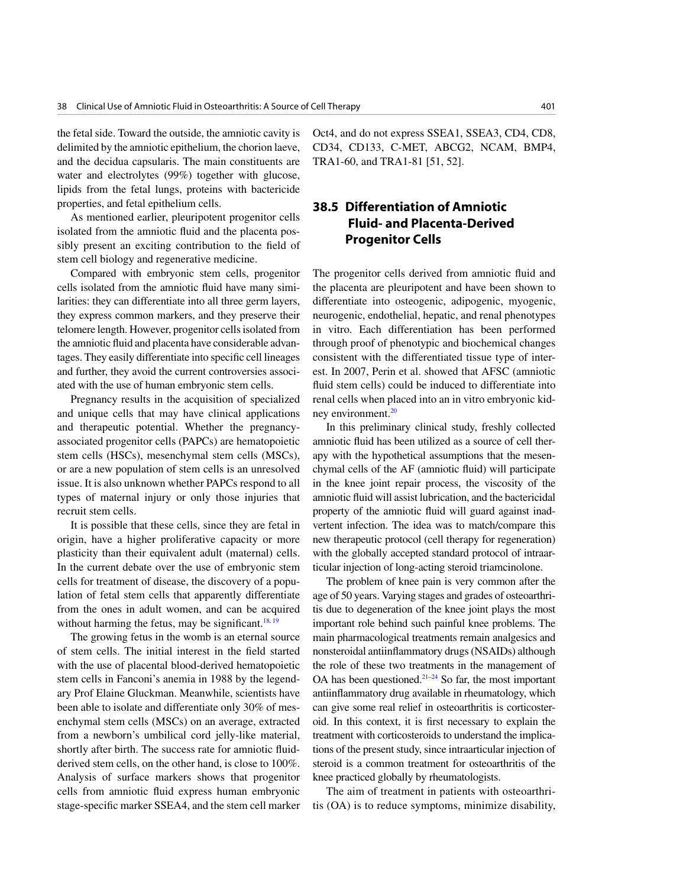the fetal side. Toward the outside, the amniotic cavity is delimited by the amniotic epithelium, the chorion laeve, and the decidua capsularis. The main constituents are water and electrolytes (99%) together with glucose, lipids from the fetal lungs, proteins with bactericide properties, and fetal epithelium cells.

As mentioned earlier, pleuripotent progenitor cells isolated from the amniotic fluid and the placenta possibly present an exciting contribution to the field of stem cell biology and regenerative medicine.

Compared with embryonic stem cells, progenitor cells isolated from the amniotic fluid have many similarities: they can differentiate into all three germ layers, they express common markers, and they preserve their telomere length. However, progenitor cells isolated from the amniotic fluid and placenta have considerable advantages. They easily differentiate into specific cell lineages and further, they avoid the current controversies associated with the use of human embryonic stem cells.

Pregnancy results in the acquisition of specialized and unique cells that may have clinical applications and therapeutic potential. Whether the pregnancyassociated progenitor cells (PAPCs) are hematopoietic stem cells (HSCs), mesenchymal stem cells (MSCs), or are a new population of stem cells is an unresolved issue. It is also unknown whether PAPCs respond to all types of maternal injury or only those injuries that recruit stem cells.

It is possible that these cells, since they are fetal in origin, have a higher proliferative capacity or more plasticity than their equivalent adult (maternal) cells. In the current debate over the use of embryonic stem cells for treatment of disease, the discovery of a population of fetal stem cells that apparently differentiate from the ones in adult women, and can be acquired without harming the fetus, may be significant.<sup>18, 19</sup>

The growing fetus in the womb is an eternal source of stem cells. The initial interest in the field started with the use of placental blood-derived hematopoietic stem cells in Fanconi's anemia in 1988 by the legendary Prof Elaine Gluckman. Meanwhile, scientists have been able to isolate and differentiate only 30% of mesenchymal stem cells (MSCs) on an average, extracted from a newborn's umbilical cord jelly-like material, shortly after birth. The success rate for amniotic fluidderived stem cells, on the other hand, is close to 100%. Analysis of surface markers shows that progenitor cells from amniotic fluid express human embryonic stage-specific marker SSEA4, and the stem cell marker Oct4, and do not express SSEA1, SSEA3, CD4, CD8, CD34, CD133, C-MET, ABCG2, NCAM, BMP4, TRA1-60, and TRA1-81 [51, 52].

# **38.5 Differentiation of Amniotic Fluid- and Placenta-Derived Progenitor Cells**

The progenitor cells derived from amniotic fluid and the placenta are pleuripotent and have been shown to differentiate into osteogenic, adipogenic, myogenic, neurogenic, endothelial, hepatic, and renal phenotypes in vitro. Each differentiation has been performed through proof of phenotypic and biochemical changes consistent with the differentiated tissue type of interest. In 2007, Perin et al. showed that AFSC (amniotic fluid stem cells) could be induced to differentiate into renal cells when placed into an in vitro embryonic kidney environment.<sup>20</sup>

In this preliminary clinical study, freshly collected amniotic fluid has been utilized as a source of cell therapy with the hypothetical assumptions that the mesenchymal cells of the AF (amniotic fluid) will participate in the knee joint repair process, the viscosity of the amniotic fluid will assist lubrication, and the bactericidal property of the amniotic fluid will guard against inadvertent infection. The idea was to match/compare this new therapeutic protocol (cell therapy for regeneration) with the globally accepted standard protocol of intraarticular injection of long-acting steroid triamcinolone.

The problem of knee pain is very common after the age of 50 years. Varying stages and grades of osteoarthritis due to degeneration of the knee joint plays the most important role behind such painful knee problems. The main pharmacological treatments remain analgesics and nonsteroidal antiinflammatory drugs (NSAIDs) although the role of these two treatments in the management of OA has been questioned. $2^{1-24}$  So far, the most important antiinflammatory drug available in rheumatology, which can give some real relief in osteoarthritis is corticosteroid. In this context, it is first necessary to explain the treatment with corticosteroids to understand the implications of the present study, since intraarticular injection of steroid is a common treatment for osteoarthritis of the knee practiced globally by rheumatologists.

The aim of treatment in patients with osteoarthritis (OA) is to reduce symptoms, minimize disability,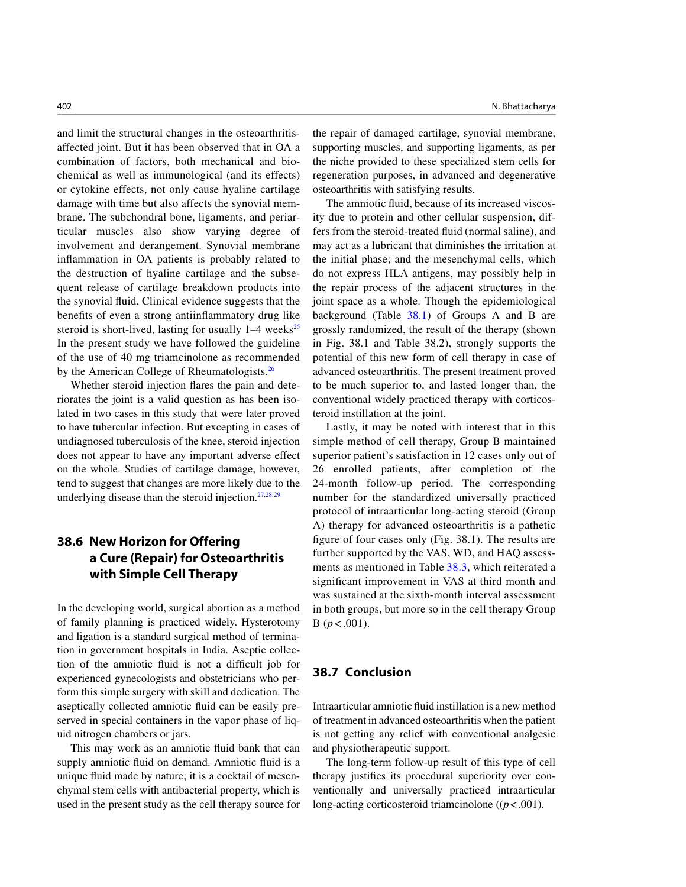and limit the structural changes in the osteoarthritisaffected joint. But it has been observed that in OA a combination of factors, both mechanical and biochemical as well as immunological (and its effects) or cytokine effects, not only cause hyaline cartilage damage with time but also affects the synovial membrane. The subchondral bone, ligaments, and periarticular muscles also show varying degree of involvement and derangement. Synovial membrane inflammation in OA patients is probably related to the destruction of hyaline cartilage and the subsequent release of cartilage breakdown products into the synovial fluid. Clinical evidence suggests that the benefits of even a strong antiinflammatory drug like steroid is short-lived, lasting for usually  $1-4$  weeks<sup>25</sup> In the present study we have followed the guideline of the use of 40 mg triamcinolone as recommended by the American College of Rheumatologists.<sup>26</sup>

Whether steroid injection flares the pain and deteriorates the joint is a valid question as has been isolated in two cases in this study that were later proved to have tubercular infection. But excepting in cases of undiagnosed tuberculosis of the knee, steroid injection does not appear to have any important adverse effect on the whole. Studies of cartilage damage, however, tend to suggest that changes are more likely due to the underlying disease than the steroid injection. $27,28,29$ 

# **38.6 New Horizon for Offering a Cure (Repair) for Osteoarthritis with Simple Cell Therapy**

In the developing world, surgical abortion as a method of family planning is practiced widely. Hysterotomy and ligation is a standard surgical method of termination in government hospitals in India. Aseptic collection of the amniotic fluid is not a difficult job for experienced gynecologists and obstetricians who perform this simple surgery with skill and dedication. The aseptically collected amniotic fluid can be easily preserved in special containers in the vapor phase of liquid nitrogen chambers or jars.

This may work as an amniotic fluid bank that can supply amniotic fluid on demand. Amniotic fluid is a unique fluid made by nature; it is a cocktail of mesenchymal stem cells with antibacterial property, which is used in the present study as the cell therapy source for

the repair of damaged cartilage, synovial membrane, supporting muscles, and supporting ligaments, as per the niche provided to these specialized stem cells for regeneration purposes, in advanced and degenerative osteoarthritis with satisfying results.

The amniotic fluid, because of its increased viscosity due to protein and other cellular suspension, differs from the steroid-treated fluid (normal saline), and may act as a lubricant that diminishes the irritation at the initial phase; and the mesenchymal cells, which do not express HLA antigens, may possibly help in the repair process of the adjacent structures in the joint space as a whole. Though the epidemiological background (Table 38.1) of Groups A and B are grossly randomized, the result of the therapy (shown in Fig. 38.1 and Table 38.2), strongly supports the potential of this new form of cell therapy in case of advanced osteoarthritis. The present treatment proved to be much superior to, and lasted longer than, the conventional widely practiced therapy with corticosteroid instillation at the joint.

Lastly, it may be noted with interest that in this simple method of cell therapy, Group B maintained superior patient's satisfaction in 12 cases only out of 26 enrolled patients, after completion of the 24-month follow-up period. The corresponding number for the standardized universally practiced protocol of intraarticular long-acting steroid (Group A) therapy for advanced osteoarthritis is a pathetic figure of four cases only (Fig. 38.1). The results are further supported by the VAS, WD, and HAQ assessments as mentioned in Table 38.3, which reiterated a significant improvement in VAS at third month and was sustained at the sixth-month interval assessment in both groups, but more so in the cell therapy Group  $B(p<.001)$ .

#### **38.7 Conclusion**

Intraarticular amniotic fluid instillation is a new method of treatment in advanced osteoarthritis when the patient is not getting any relief with conventional analgesic and physiotherapeutic support.

The long-term follow-up result of this type of cell therapy justifies its procedural superiority over conventionally and universally practiced intraarticular long-acting corticosteroid triamcinolone  $((p < .001))$ .